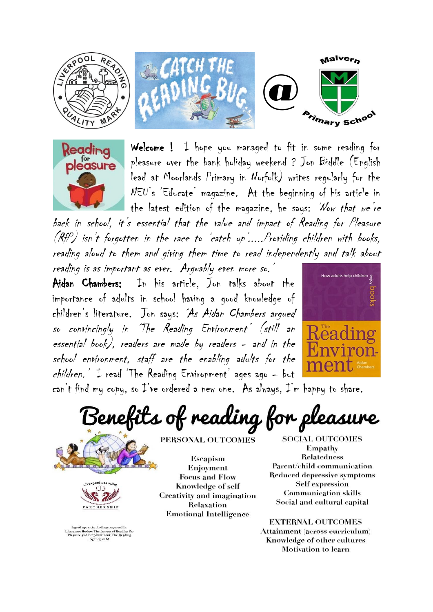



Welcome ! I hope you managed to fit in some reading for pleasure over the bank holiday weekend ? Jon Biddle (English lead at Moorlands Primary in Norfolk) writes regularly for the NEU's 'Educate' magazine. At the beginning of his article in the latest edition of the magazine, he says: 'Now that we're

back in school, it's essential that the value and impact of Reading for Pleasure  $(RfP)$  isn't forgotten in the race to 'catch up'.....Providing children with books, reading aloud to them and giving them time to read independently and talk about reading is as important as ever. Arguably even more so.

Aidan Chambers: In his article, Jon talks about the importance of adults in school having a good knowledge of children's literature. Jon says: 'As Aidan Chambers argued so convincingly in 'The Reading Environment' (still an essential book), readers are made by readers – and in the school environment, staff are the enabling adults for the  $children.$  I read 'The Reading Environment' ages ago - but



can't find my copy, so  $I'$ ve ordered a new one. As always,  $I'$ m happy to share.

Benefits of reading for pleasure





 $\begin{minipage}{0.9\linewidth} \textbf{based upon the findings reported in} \\ \textbf{Literature Review:} \textbf{The Impact of Reading for} \\ \textbf{Please and Emperor,} \textbf{The Reading} \\ \textbf{Agency,} \textbf{2015} \end{minipage}$ 

PERSONAL OUTCOMES

Escapism Enjoyment **Focus and Flow** Knowledge of self Creativity and imagination Relaxation **Emotional Intelligence** 

**SOCIAL OUTCOMES** Empathy **Relatedness** Parent/child communication **Reduced depressive symptoms Self expression Communication skills** Social and cultural capital

**EXTERNAL OUTCOMES** Attainment (across curriculum) Knowledge of other cultures **Motivation to learn**